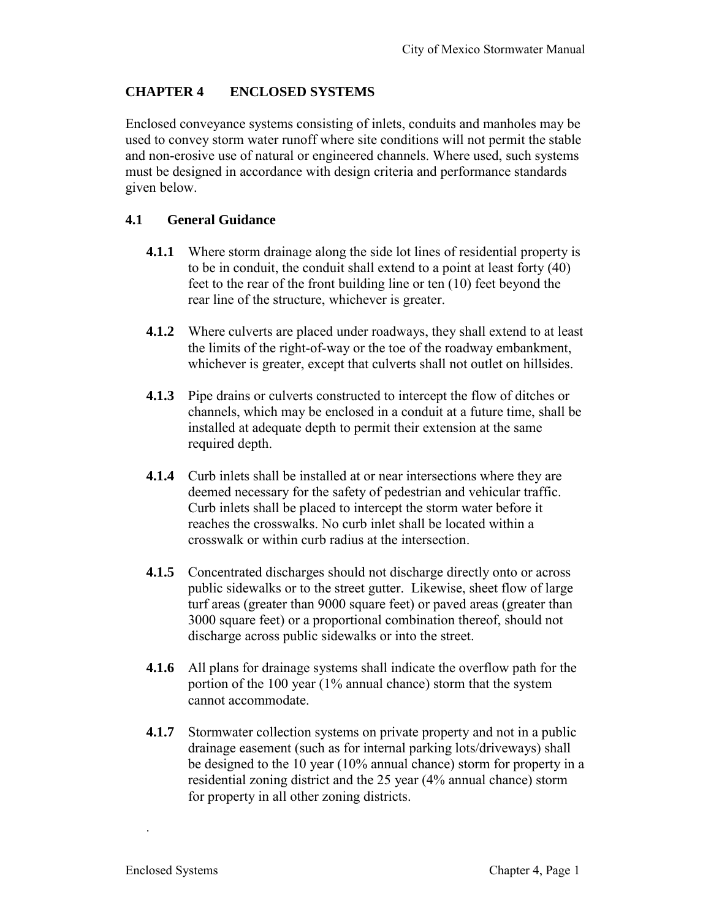# **CHAPTER 4 ENCLOSED SYSTEMS**

Enclosed conveyance systems consisting of inlets, conduits and manholes may be used to convey storm water runoff where site conditions will not permit the stable and non-erosive use of natural or engineered channels. Where used, such systems must be designed in accordance with design criteria and performance standards given below.

# **4.1 General Guidance**

- **4.1.1** Where storm drainage along the side lot lines of residential property is to be in conduit, the conduit shall extend to a point at least forty (40) feet to the rear of the front building line or ten (10) feet beyond the rear line of the structure, whichever is greater.
- **4.1.2** Where culverts are placed under roadways, they shall extend to at least the limits of the right-of-way or the toe of the roadway embankment, whichever is greater, except that culverts shall not outlet on hillsides.
- **4.1.3** Pipe drains or culverts constructed to intercept the flow of ditches or channels, which may be enclosed in a conduit at a future time, shall be installed at adequate depth to permit their extension at the same required depth.
- **4.1.4** Curb inlets shall be installed at or near intersections where they are deemed necessary for the safety of pedestrian and vehicular traffic. Curb inlets shall be placed to intercept the storm water before it reaches the crosswalks. No curb inlet shall be located within a crosswalk or within curb radius at the intersection.
- **4.1.5** Concentrated discharges should not discharge directly onto or across public sidewalks or to the street gutter. Likewise, sheet flow of large turf areas (greater than 9000 square feet) or paved areas (greater than 3000 square feet) or a proportional combination thereof, should not discharge across public sidewalks or into the street.
- **4.1.6** All plans for drainage systems shall indicate the overflow path for the portion of the 100 year (1% annual chance) storm that the system cannot accommodate.
- **4.1.7** Stormwater collection systems on private property and not in a public drainage easement (such as for internal parking lots/driveways) shall be designed to the 10 year (10% annual chance) storm for property in a residential zoning district and the 25 year (4% annual chance) storm for property in all other zoning districts.

.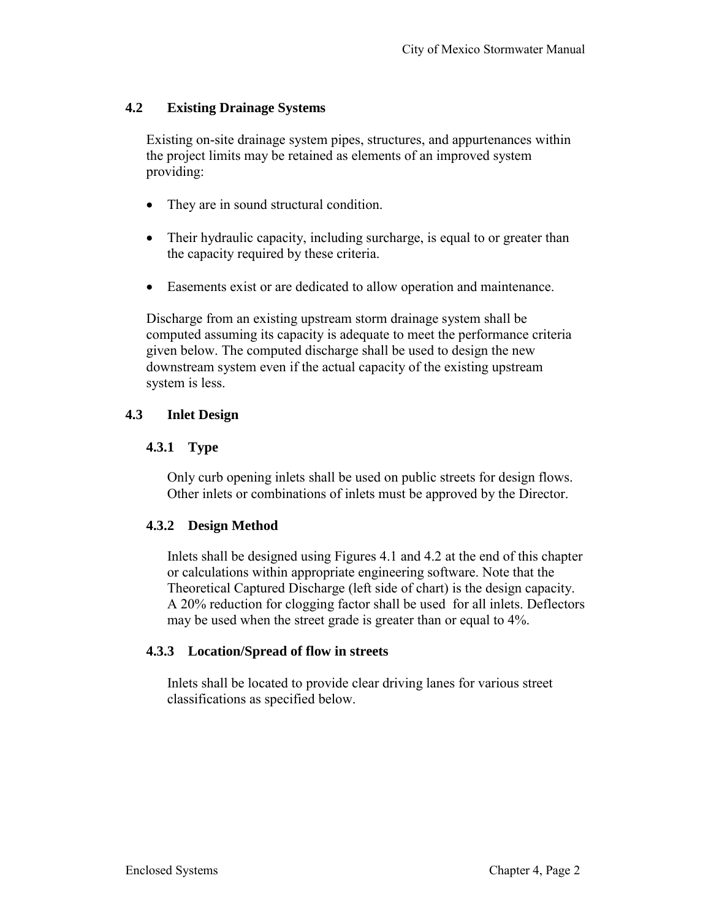## **4.2 Existing Drainage Systems**

Existing on-site drainage system pipes, structures, and appurtenances within the project limits may be retained as elements of an improved system providing:

- They are in sound structural condition.
- Their hydraulic capacity, including surcharge, is equal to or greater than the capacity required by these criteria.
- Easements exist or are dedicated to allow operation and maintenance.

Discharge from an existing upstream storm drainage system shall be computed assuming its capacity is adequate to meet the performance criteria given below. The computed discharge shall be used to design the new downstream system even if the actual capacity of the existing upstream system is less.

## **4.3 Inlet Design**

## **4.3.1 Type**

Only curb opening inlets shall be used on public streets for design flows. Other inlets or combinations of inlets must be approved by the Director.

# **4.3.2 Design Method**

Inlets shall be designed using Figures 4.1 and 4.2 at the end of this chapter or calculations within appropriate engineering software. Note that the Theoretical Captured Discharge (left side of chart) is the design capacity. A 20% reduction for clogging factor shall be used for all inlets. Deflectors may be used when the street grade is greater than or equal to 4%.

#### **4.3.3 Location/Spread of flow in streets**

Inlets shall be located to provide clear driving lanes for various street classifications as specified below.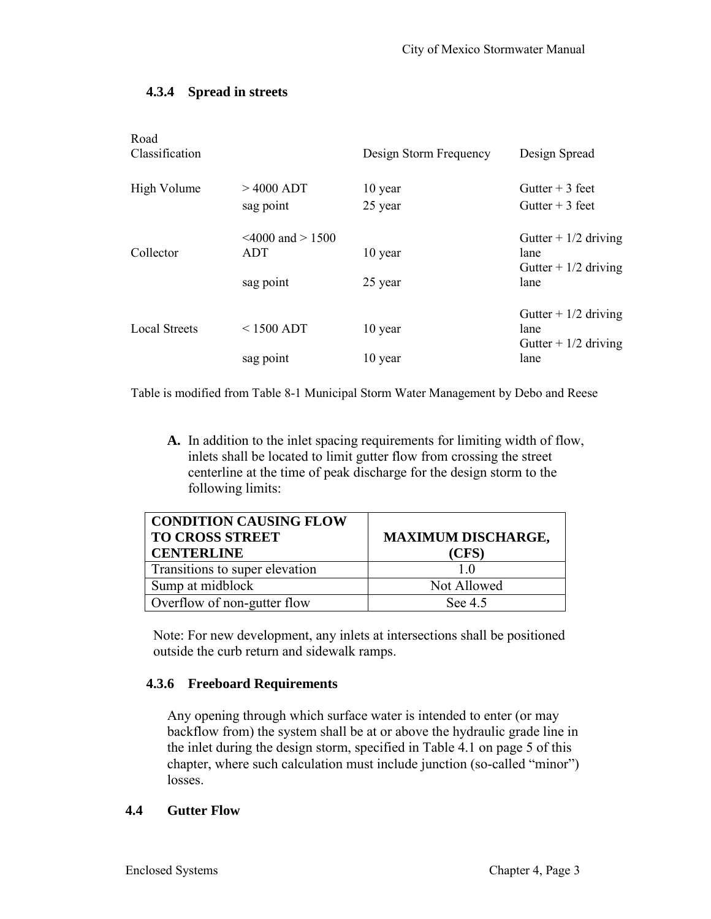## **4.3.4 Spread in streets**

| Road<br>Classification |                                        | Design Storm Frequency | Design Spread                                           |
|------------------------|----------------------------------------|------------------------|---------------------------------------------------------|
| High Volume            | $>4000$ ADT<br>sag point               | 10 year<br>25 year     | Gutter $+3$ feet<br>Gutter $+3$ feet                    |
| Collector              | $\leq 4000$ and $> 1500$<br><b>ADT</b> | 10 year                | Gutter $+1/2$ driving<br>lane<br>Gutter + $1/2$ driving |
|                        | sag point                              | 25 year                | lane                                                    |
| Local Streets          | $<$ 1500 ADT                           | 10 year                | Gutter + $1/2$ driving<br>lane<br>Gutter $+1/2$ driving |
|                        | sag point                              | 10 year                | lane                                                    |

Table is modified from Table 8-1 Municipal Storm Water Management by Debo and Reese

**A.** In addition to the inlet spacing requirements for limiting width of flow, inlets shall be located to limit gutter flow from crossing the street centerline at the time of peak discharge for the design storm to the following limits:

| <b>CONDITION CAUSING FLOW</b><br><b>TO CROSS STREET</b><br><b>CENTERLINE</b> | <b>MAXIMUM DISCHARGE,</b><br>(CFS) |  |
|------------------------------------------------------------------------------|------------------------------------|--|
| Transitions to super elevation                                               |                                    |  |
| Sump at midblock                                                             | Not Allowed                        |  |
| Overflow of non-gutter flow                                                  | See 4.5                            |  |

Note: For new development, any inlets at intersections shall be positioned outside the curb return and sidewalk ramps.

#### **4.3.6 Freeboard Requirements**

Any opening through which surface water is intended to enter (or may backflow from) the system shall be at or above the hydraulic grade line in the inlet during the design storm, specified in Table 4.1 on page 5 of this chapter, where such calculation must include junction (so-called "minor") losses.

#### **4.4 Gutter Flow**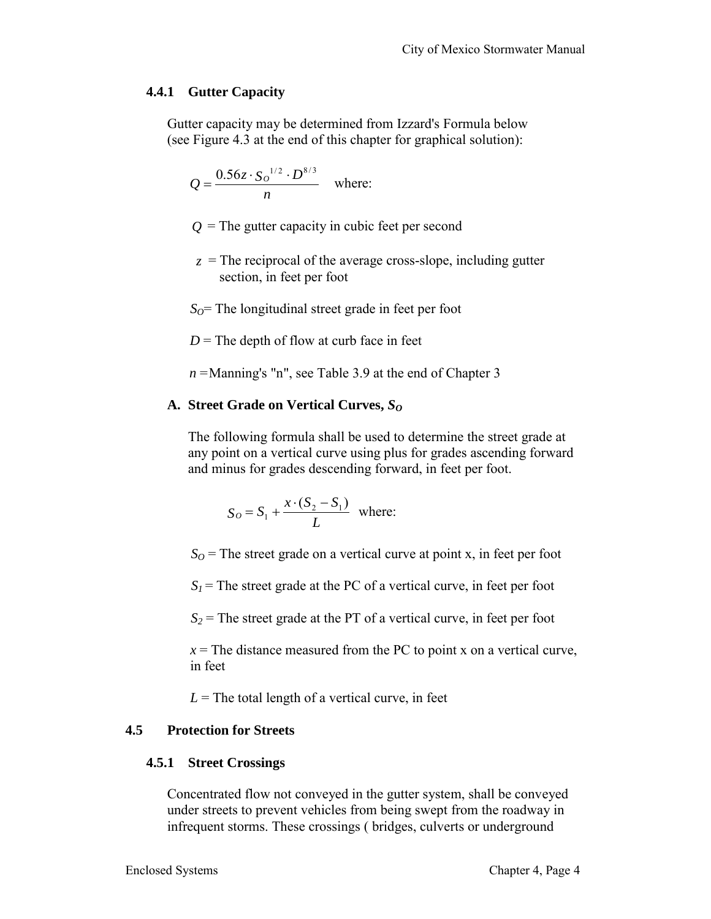# **4.4.1 Gutter Capacity**

Gutter capacity may be determined from Izzard's Formula below (see Figure 4.3 at the end of this chapter for graphical solution):

$$
Q = \frac{0.56z \cdot S_0^{-1/2} \cdot D^{8/3}}{n}
$$
 where:

- $Q$  = The gutter capacity in cubic feet per second
- $z =$ The reciprocal of the average cross-slope, including gutter section, in feet per foot

 $S<sub>O</sub>$ = The longitudinal street grade in feet per foot

 $D$  = The depth of flow at curb face in feet

*n* = Manning's "n", see Table 3.9 at the end of Chapter 3

## **A. Street Grade on Vertical Curves,** *S<sup>O</sup>*

The following formula shall be used to determine the street grade at any point on a vertical curve using plus for grades ascending forward and minus for grades descending forward, in feet per foot.

$$
S_O = S_1 + \frac{x \cdot (S_2 - S_1)}{L}
$$
 where:

 $S<sub>O</sub>$  = The street grade on a vertical curve at point x, in feet per foot

 $S_I$  = The street grade at the PC of a vertical curve, in feet per foot

 $S_2$  = The street grade at the PT of a vertical curve, in feet per foot

 $x =$ The distance measured from the PC to point x on a vertical curve, in feet

 $L =$ The total length of a vertical curve, in feet

# **4.5 Protection for Streets**

# **4.5.1 Street Crossings**

Concentrated flow not conveyed in the gutter system, shall be conveyed under streets to prevent vehicles from being swept from the roadway in infrequent storms. These crossings ( bridges, culverts or underground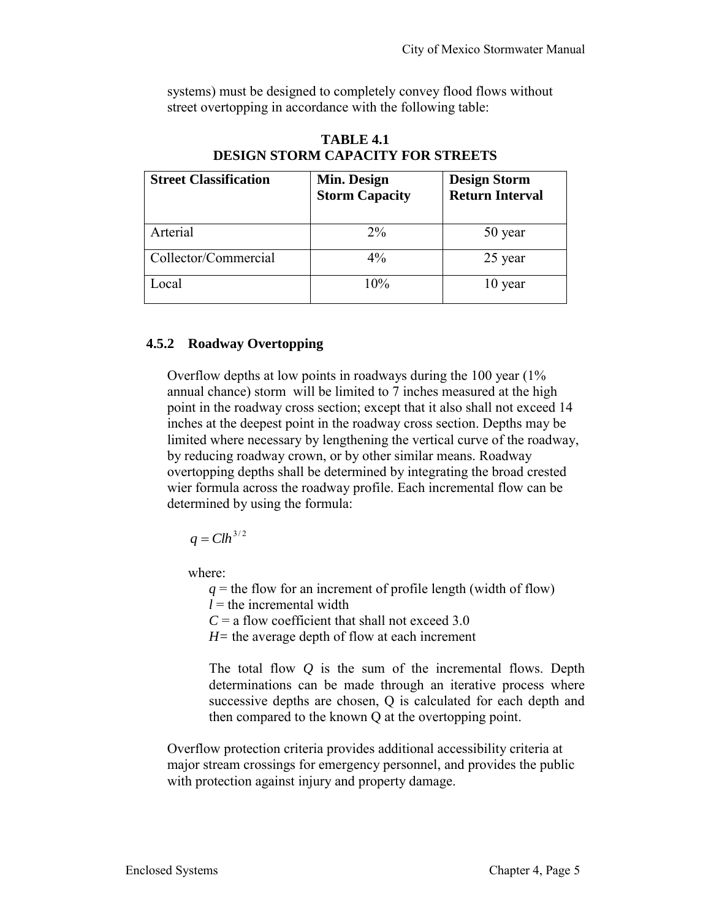systems) must be designed to completely convey flood flows without street overtopping in accordance with the following table:

| <b>Street Classification</b> | Min. Design<br><b>Storm Capacity</b> | <b>Design Storm</b><br><b>Return Interval</b> |
|------------------------------|--------------------------------------|-----------------------------------------------|
| Arterial                     | $2\%$                                | 50 year                                       |
| Collector/Commercial         | $4\%$                                | 25 year                                       |
| ocal                         | 10%                                  | 10 year                                       |

**TABLE 4.1 DESIGN STORM CAPACITY FOR STREETS** 

# **4.5.2 Roadway Overtopping**

Overflow depths at low points in roadways during the 100 year (1% annual chance) storm will be limited to 7 inches measured at the high point in the roadway cross section; except that it also shall not exceed 14 inches at the deepest point in the roadway cross section. Depths may be limited where necessary by lengthening the vertical curve of the roadway, by reducing roadway crown, or by other similar means. Roadway overtopping depths shall be determined by integrating the broad crested wier formula across the roadway profile. Each incremental flow can be determined by using the formula:

 $q = Clh^{3/2}$ 

where:

 $q =$  the flow for an increment of profile length (width of flow)

 $l =$  the incremental width

 $C = a$  flow coefficient that shall not exceed 3.0

*H=* the average depth of flow at each increment

The total flow *Q* is the sum of the incremental flows. Depth determinations can be made through an iterative process where successive depths are chosen, Q is calculated for each depth and then compared to the known Q at the overtopping point.

Overflow protection criteria provides additional accessibility criteria at major stream crossings for emergency personnel, and provides the public with protection against injury and property damage.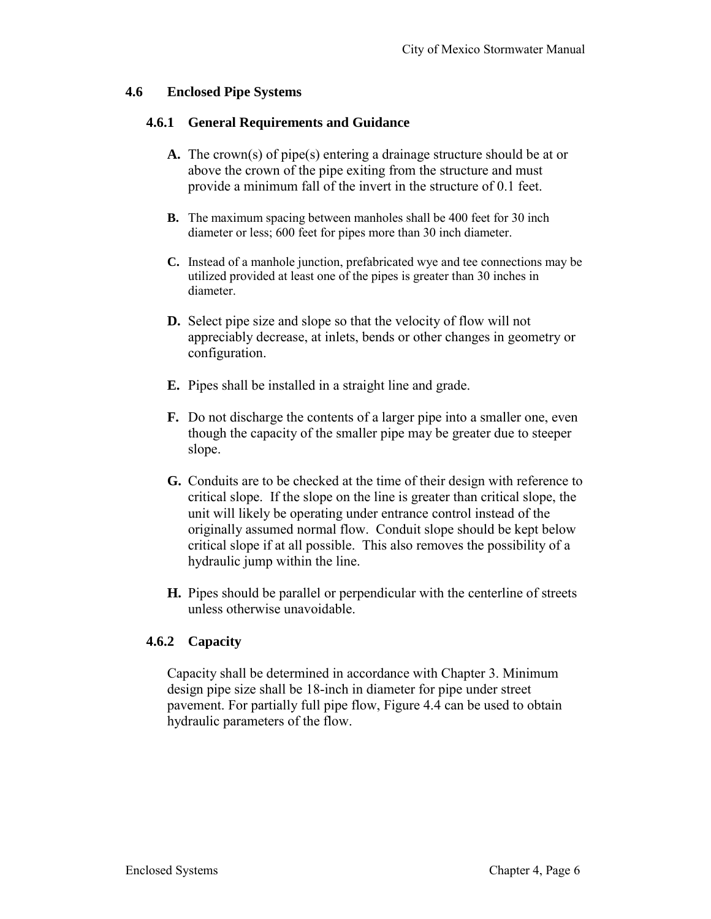#### **4.6 Enclosed Pipe Systems**

#### **4.6.1 General Requirements and Guidance**

- **A.** The crown(s) of pipe(s) entering a drainage structure should be at or above the crown of the pipe exiting from the structure and must provide a minimum fall of the invert in the structure of 0.1 feet.
- **B.** The maximum spacing between manholes shall be 400 feet for 30 inch diameter or less; 600 feet for pipes more than 30 inch diameter.
- **C.** Instead of a manhole junction, prefabricated wye and tee connections may be utilized provided at least one of the pipes is greater than 30 inches in diameter.
- **D.** Select pipe size and slope so that the velocity of flow will not appreciably decrease, at inlets, bends or other changes in geometry or configuration.
- **E.** Pipes shall be installed in a straight line and grade.
- **F.** Do not discharge the contents of a larger pipe into a smaller one, even though the capacity of the smaller pipe may be greater due to steeper slope.
- **G.** Conduits are to be checked at the time of their design with reference to critical slope. If the slope on the line is greater than critical slope, the unit will likely be operating under entrance control instead of the originally assumed normal flow. Conduit slope should be kept below critical slope if at all possible. This also removes the possibility of a hydraulic jump within the line.
- **H.** Pipes should be parallel or perpendicular with the centerline of streets unless otherwise unavoidable.

# **4.6.2 Capacity**

Capacity shall be determined in accordance with Chapter 3. Minimum design pipe size shall be 18-inch in diameter for pipe under street pavement. For partially full pipe flow, Figure 4.4 can be used to obtain hydraulic parameters of the flow.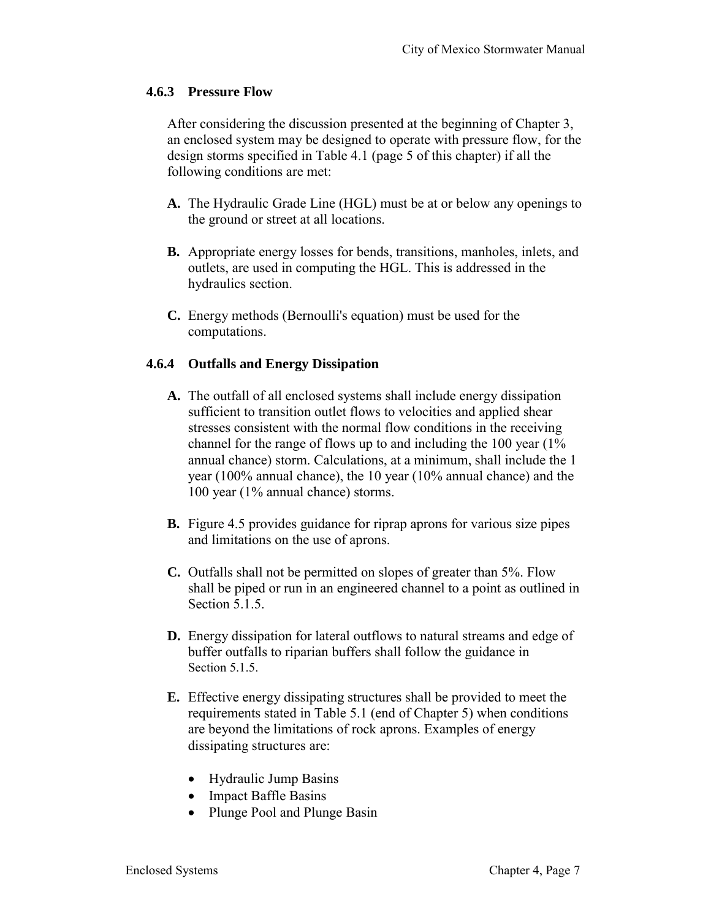## **4.6.3 Pressure Flow**

After considering the discussion presented at the beginning of Chapter 3, an enclosed system may be designed to operate with pressure flow, for the design storms specified in Table 4.1 (page 5 of this chapter) if all the following conditions are met:

- **A.** The Hydraulic Grade Line (HGL) must be at or below any openings to the ground or street at all locations.
- **B.** Appropriate energy losses for bends, transitions, manholes, inlets, and outlets, are used in computing the HGL. This is addressed in the hydraulics section.
- **C.** Energy methods (Bernoulli's equation) must be used for the computations.

# **4.6.4 Outfalls and Energy Dissipation**

- **A.** The outfall of all enclosed systems shall include energy dissipation sufficient to transition outlet flows to velocities and applied shear stresses consistent with the normal flow conditions in the receiving channel for the range of flows up to and including the 100 year (1% annual chance) storm. Calculations, at a minimum, shall include the 1 year (100% annual chance), the 10 year (10% annual chance) and the 100 year (1% annual chance) storms.
- **B.** Figure 4.5 provides guidance for riprap aprons for various size pipes and limitations on the use of aprons.
- **C.** Outfalls shall not be permitted on slopes of greater than 5%. Flow shall be piped or run in an engineered channel to a point as outlined in Section 5.1.5.
- **D.** Energy dissipation for lateral outflows to natural streams and edge of buffer outfalls to riparian buffers shall follow the guidance in Section 5.1.5.
- **E.** Effective energy dissipating structures shall be provided to meet the requirements stated in Table 5.1 (end of Chapter 5) when conditions are beyond the limitations of rock aprons. Examples of energy dissipating structures are:
	- Hydraulic Jump Basins
	- Impact Baffle Basins
	- Plunge Pool and Plunge Basin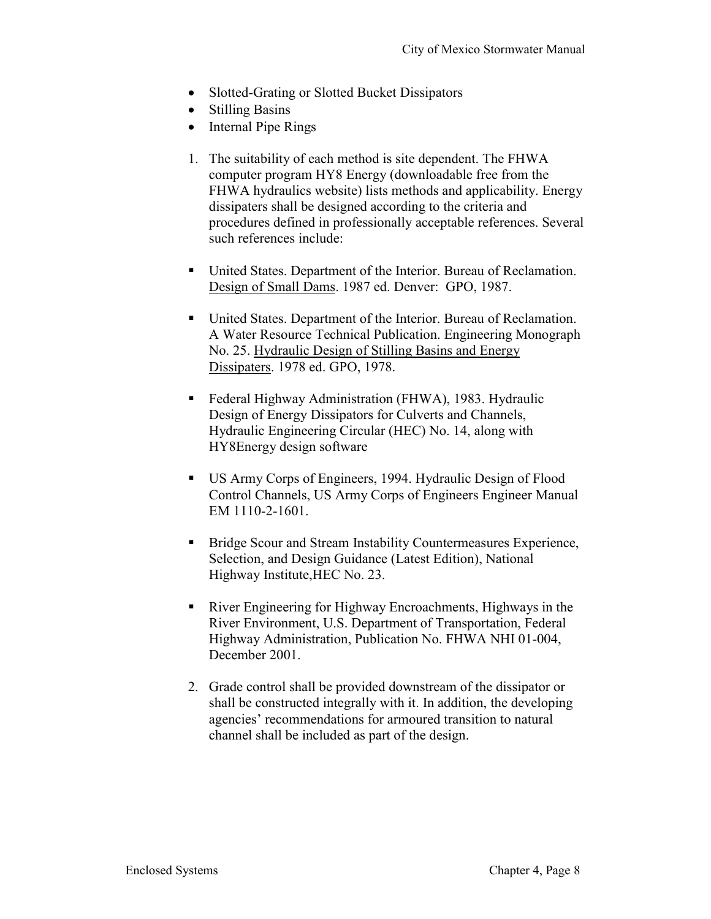- Slotted-Grating or Slotted Bucket Dissipators
- Stilling Basins
- Internal Pipe Rings
- 1. The suitability of each method is site dependent. The FHWA computer program HY8 Energy (downloadable free from the FHWA hydraulics website) lists methods and applicability. Energy dissipaters shall be designed according to the criteria and procedures defined in professionally acceptable references. Several such references include:
- United States. Department of the Interior. Bureau of Reclamation. Design of Small Dams. 1987 ed. Denver: GPO, 1987.
- United States. Department of the Interior. Bureau of Reclamation. A Water Resource Technical Publication. Engineering Monograph No. 25. Hydraulic Design of Stilling Basins and Energy Dissipaters. 1978 ed. GPO, 1978.
- Federal Highway Administration (FHWA), 1983. Hydraulic Design of Energy Dissipators for Culverts and Channels, Hydraulic Engineering Circular (HEC) No. 14, along with HY8Energy design software
- US Army Corps of Engineers, 1994. Hydraulic Design of Flood Control Channels, US Army Corps of Engineers Engineer Manual EM 1110-2-1601.
- Bridge Scour and Stream Instability Countermeasures Experience, Selection, and Design Guidance (Latest Edition), National Highway Institute,HEC No. 23.
- River Engineering for Highway Encroachments, Highways in the River Environment, U.S. Department of Transportation, Federal Highway Administration, Publication No. FHWA NHI 01-004, December 2001.
- 2. Grade control shall be provided downstream of the dissipator or shall be constructed integrally with it. In addition, the developing agencies' recommendations for armoured transition to natural channel shall be included as part of the design.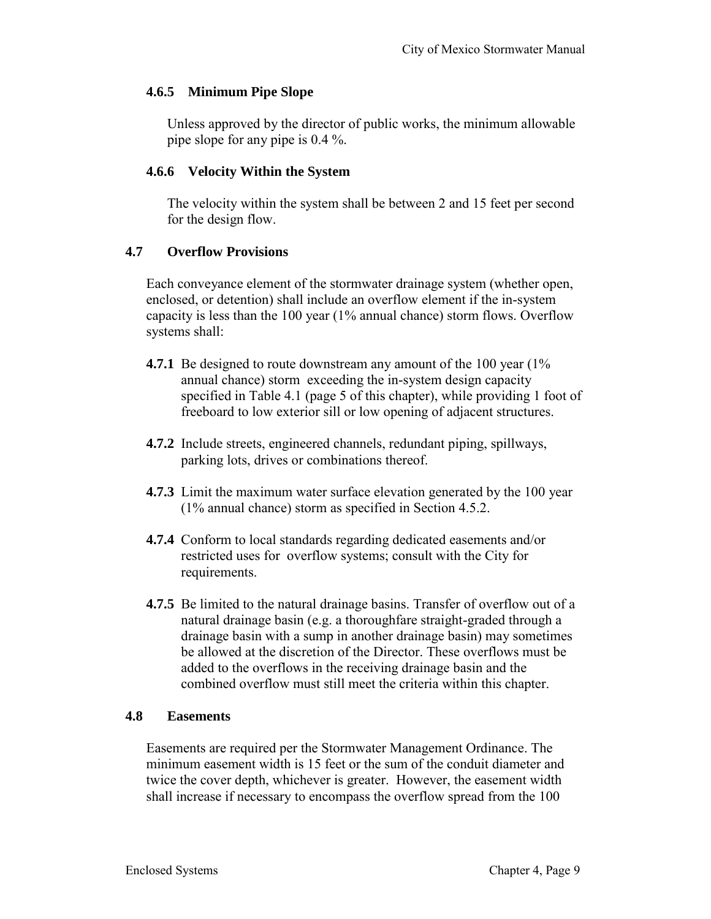## **4.6.5 Minimum Pipe Slope**

Unless approved by the director of public works, the minimum allowable pipe slope for any pipe is 0.4 %.

## **4.6.6 Velocity Within the System**

The velocity within the system shall be between 2 and 15 feet per second for the design flow.

## **4.7 Overflow Provisions**

Each conveyance element of the stormwater drainage system (whether open, enclosed, or detention) shall include an overflow element if the in-system capacity is less than the 100 year (1% annual chance) storm flows. Overflow systems shall:

- **4.7.1** Be designed to route downstream any amount of the 100 year (1%) annual chance) storm exceeding the in-system design capacity specified in Table 4.1 (page 5 of this chapter), while providing 1 foot of freeboard to low exterior sill or low opening of adjacent structures.
- **4.7.2** Include streets, engineered channels, redundant piping, spillways, parking lots, drives or combinations thereof.
- **4.7.3** Limit the maximum water surface elevation generated by the 100 year (1% annual chance) storm as specified in Section 4.5.2.
- **4.7.4** Conform to local standards regarding dedicated easements and/or restricted uses for overflow systems; consult with the City for requirements.
- **4.7.5** Be limited to the natural drainage basins. Transfer of overflow out of a natural drainage basin (e.g. a thoroughfare straight-graded through a drainage basin with a sump in another drainage basin) may sometimes be allowed at the discretion of the Director. These overflows must be added to the overflows in the receiving drainage basin and the combined overflow must still meet the criteria within this chapter.

#### **4.8 Easements**

Easements are required per the Stormwater Management Ordinance. The minimum easement width is 15 feet or the sum of the conduit diameter and twice the cover depth, whichever is greater. However, the easement width shall increase if necessary to encompass the overflow spread from the 100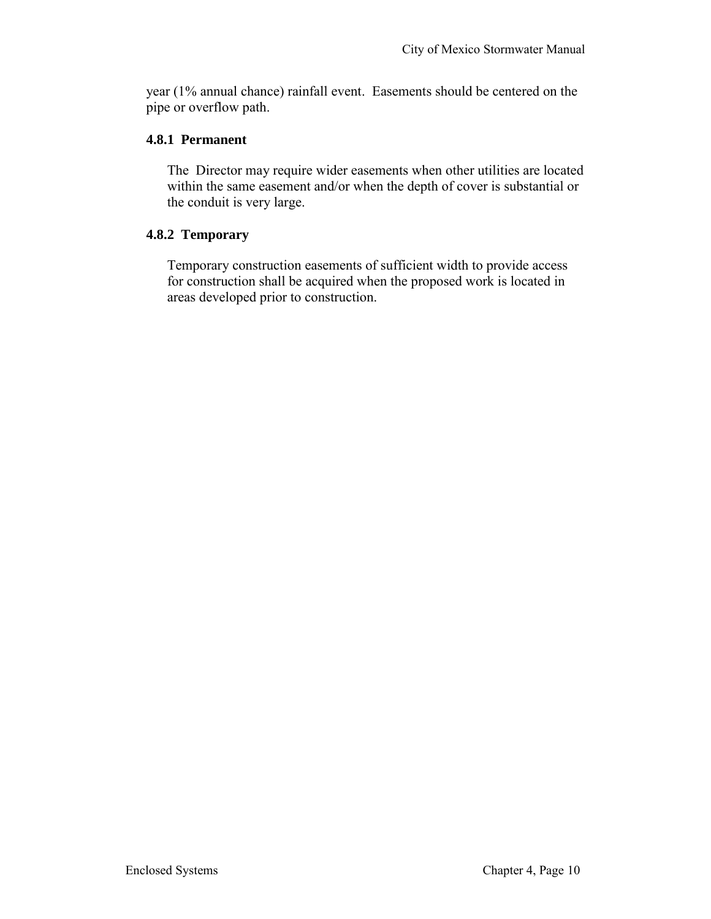year (1% annual chance) rainfall event. Easements should be centered on the pipe or overflow path.

## **4.8.1 Permanent**

The Director may require wider easements when other utilities are located within the same easement and/or when the depth of cover is substantial or the conduit is very large.

# **4.8.2 Temporary**

Temporary construction easements of sufficient width to provide access for construction shall be acquired when the proposed work is located in areas developed prior to construction.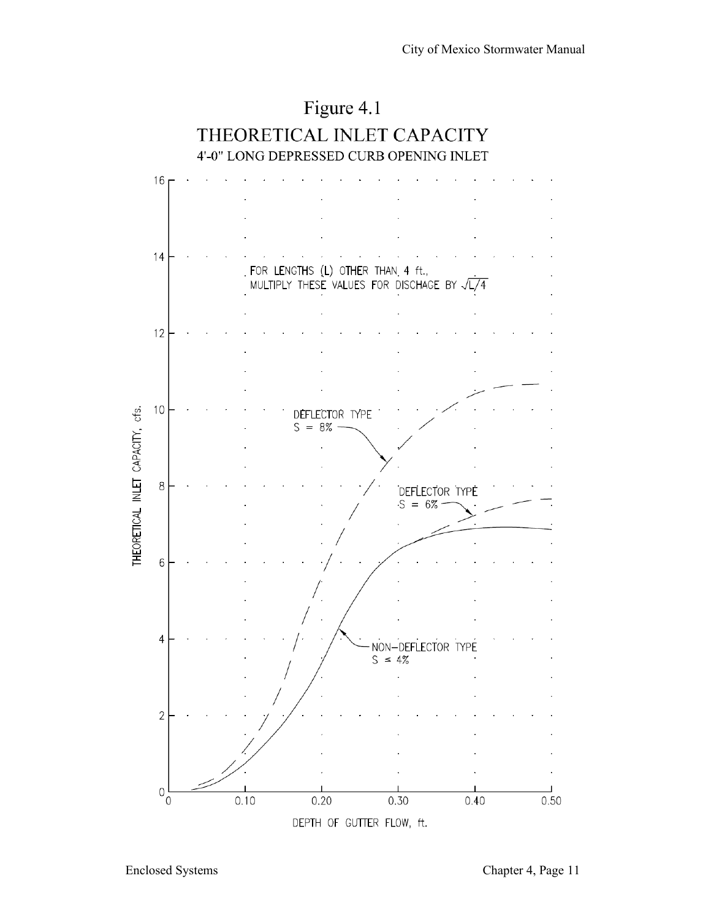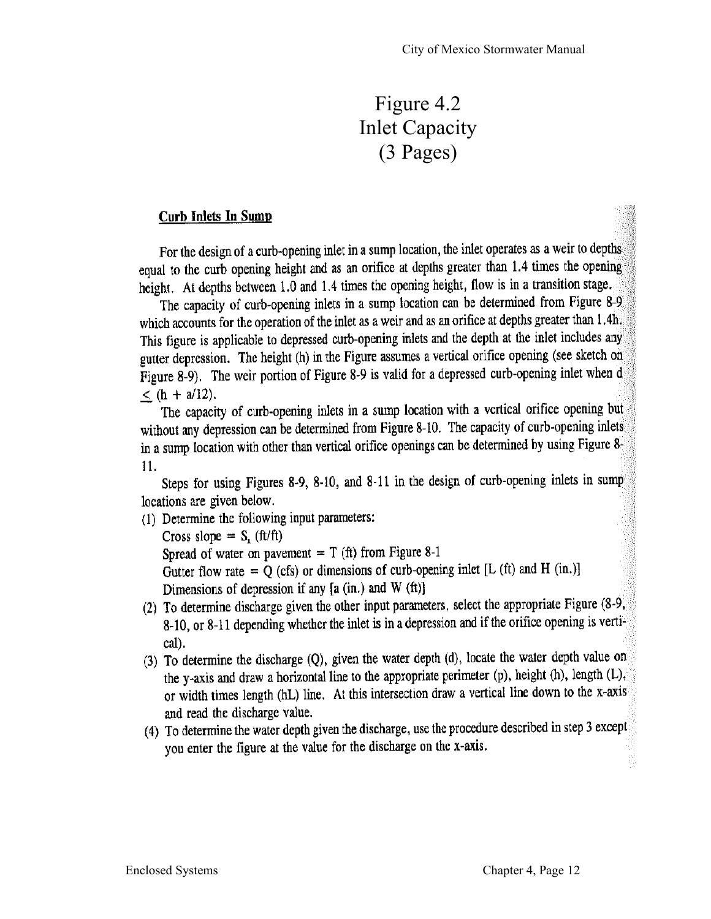# Figure 4.2 Inlet Capacity (3 Pages)

# **Curb Inlets In Sump**

For the design of a curb-opening inlet in a sump location, the inlet operates as a weir to depths equal to the curb opening height and as an orifice at depths greater than 1.4 times the opening height. At depths between 1.0 and 1.4 times the opening height, flow is in a transition stage.

The capacity of curb-opening inlets in a sump location can be determined from Figure 8-9 which accounts for the operation of the inlet as a weir and as an orifice at depths greater than 1.4h. This figure is applicable to depressed curb-opening inlets and the depth at the inlet includes any gutter depression. The height (h) in the Figure assumes a vertical orifice opening (see sketch on Figure 8-9). The weir portion of Figure 8-9 is valid for a depressed curb-opening inlet when d  $\langle$  (h + a/12).

The capacity of curb-opening inlets in a sump location with a vertical orifice opening but without any depression can be determined from Figure 8-10. The capacity of curb-opening inlets in a sump location with other than vertical orifice openings can be determined by using Figure 8. 11.

Steps for using Figures 8-9, 8-10, and 8-11 in the design of curb-opening inlets in sump locations are given below.

(1) Determine the following input parameters:

Cross slope =  $S_r$  (ft/ft) Spread of water on pavement =  $T$  (ft) from Figure 8-1 Gutter flow rate =  $\dot{Q}$  (cfs) or dimensions of curb-opening inlet [L (ft) and H (in.)] Dimensions of depression if any  $[a (in.)$  and W  $(ft)]$ 

- (2) To determine discharge given the other input parameters, select the appropriate Figure (8-9, 8-10, or 8-11 depending whether the inlet is in a depression and if the orifice opening is vertical).
- (3) To determine the discharge (Q), given the water depth (d), locate the water depth value on the y-axis and draw a horizontal line to the appropriate perimeter (p), height (h), length (L), or width times length (hL) line. At this intersection draw a vertical line down to the x-axis and read the discharge value.
- (4) To determine the water depth given the discharge, use the procedure described in step 3 except you enter the figure at the value for the discharge on the x-axis.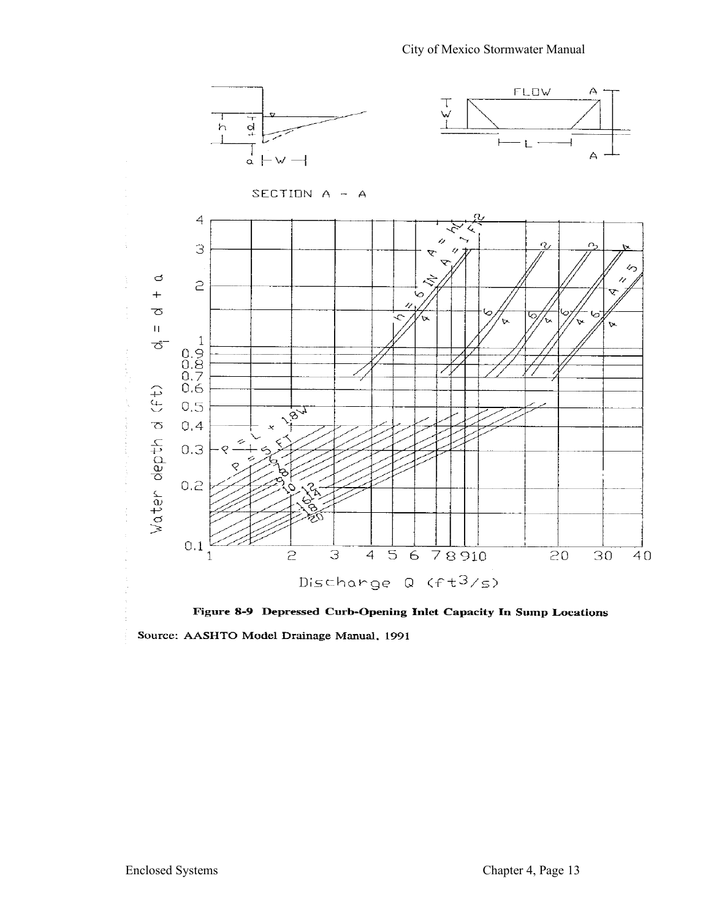

Figure 8-9 Depressed Curb-Opening Inlet Capacity In Sump Locations Source: AASHTO Model Drainage Manual, 1991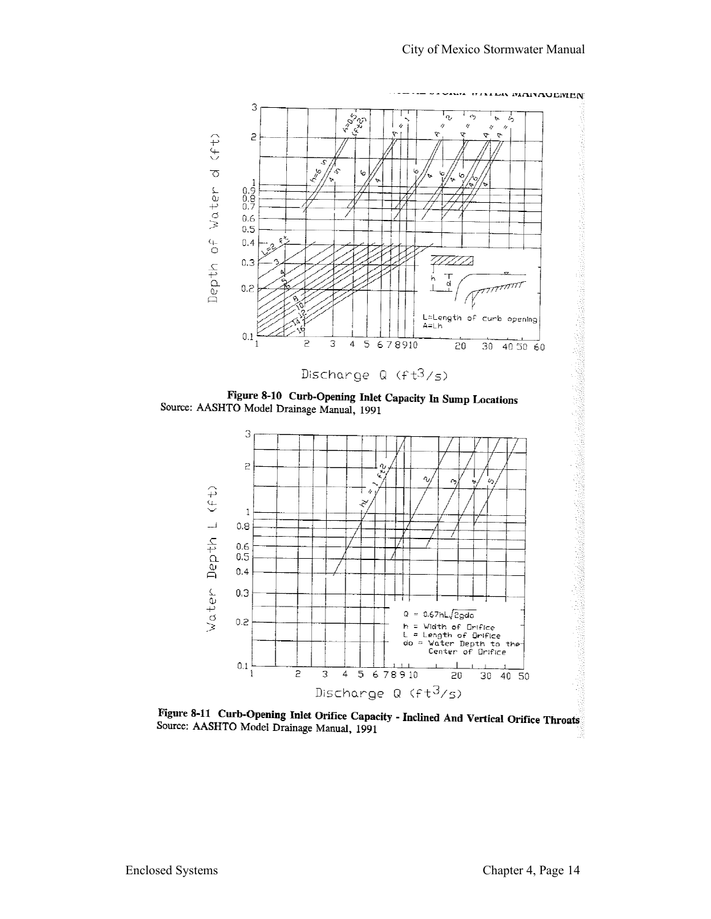

Figure 8-11 Curb-Opening Inlet Orifice Capacity - Inclined And Vertical Orifice Throats Source: AASHTO Model Drainage Manual, 1991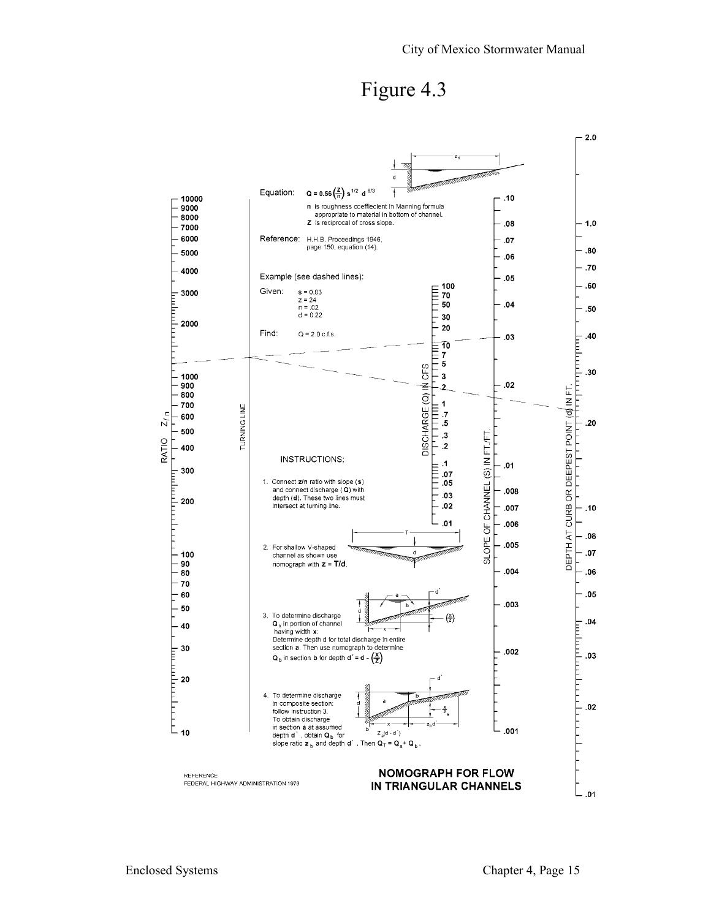